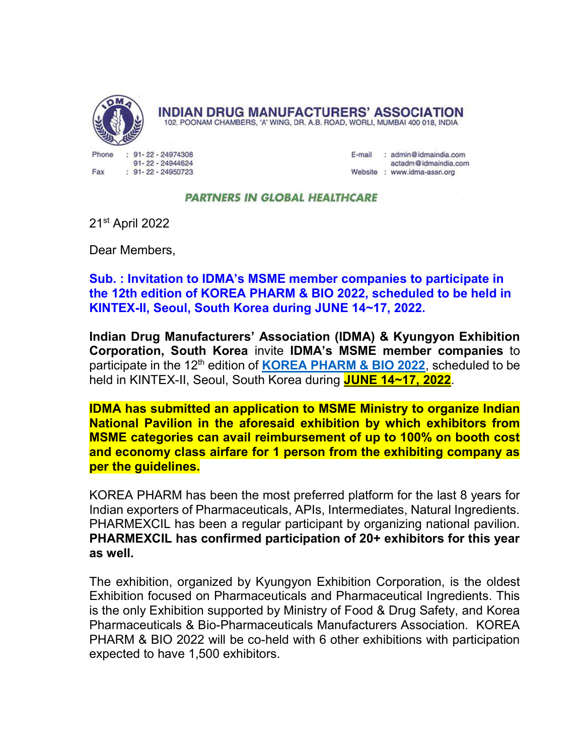

**INDIAN DRUG MANUFACTURERS' ASSOCIATION** 

102, POONAM CHAMBERS, 'A' WING, DR. A.B. ROAD, WORLI, MUMBAI 400 018, INDIA

Phone 91-22-24974308 91-22-24944624 Fax  $: 91 - 22 - 24950723$ 

E-mail : admin@idmaindia.com actadm@idmaindia.com Website : www.idma-assn.org

## **PARTNERS IN GLOBAL HEALTHCARE**

21st April 2022

Dear Members,

Sub. : Invitation to IDMA's MSME member companies to participate in the 12th edition of KOREA PHARM & BIO 2022, scheduled to be held in KINTEX-II, Seoul, South Korea during JUNE 14~17, 2022.

Indian Drug Manufacturers' Association (IDMA) & Kyungyon Exhibition Corporation, South Korea invite IDMA's MSME member companies to participate in the 12<sup>th</sup> edition of **KOREA PHARM & BIO 2022**, scheduled to be held in KINTEX-II, Seoul, South Korea during JUNE 14~17, 2022.

IDMA has submitted an application to MSME Ministry to organize Indian National Pavilion in the aforesaid exhibition by which exhibitors from MSME categories can avail reimbursement of up to 100% on booth cost and economy class airfare for 1 person from the exhibiting company as per the guidelines.

KOREA PHARM has been the most preferred platform for the last 8 years for Indian exporters of Pharmaceuticals, APIs, Intermediates, Natural Ingredients. PHARMEXCIL has been a regular participant by organizing national pavilion. PHARMEXCIL has confirmed participation of 20+ exhibitors for this year as well.

The exhibition, organized by Kyungyon Exhibition Corporation, is the oldest Exhibition focused on Pharmaceuticals and Pharmaceutical Ingredients. This is the only Exhibition supported by Ministry of Food & Drug Safety, and Korea Pharmaceuticals & Bio-Pharmaceuticals Manufacturers Association. KOREA PHARM & BIO 2022 will be co-held with 6 other exhibitions with participation expected to have 1,500 exhibitors.